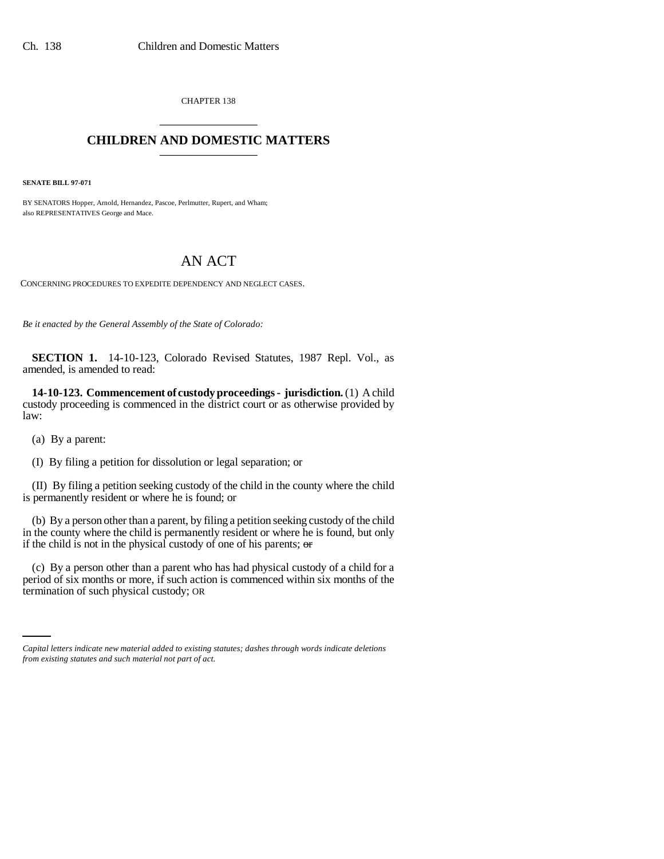CHAPTER 138 \_\_\_\_\_\_\_\_\_\_\_\_\_\_\_

## **CHILDREN AND DOMESTIC MATTERS** \_\_\_\_\_\_\_\_\_\_\_\_\_\_\_

**SENATE BILL 97-071**

BY SENATORS Hopper, Arnold, Hernandez, Pascoe, Perlmutter, Rupert, and Wham; also REPRESENTATIVES George and Mace.

## AN ACT

CONCERNING PROCEDURES TO EXPEDITE DEPENDENCY AND NEGLECT CASES.

*Be it enacted by the General Assembly of the State of Colorado:*

**SECTION 1.** 14-10-123, Colorado Revised Statutes, 1987 Repl. Vol., as amended, is amended to read:

**14-10-123. Commencement of custody proceedings - jurisdiction.** (1) A child custody proceeding is commenced in the district court or as otherwise provided by law:

(a) By a parent:

(I) By filing a petition for dissolution or legal separation; or

(II) By filing a petition seeking custody of the child in the county where the child is permanently resident or where he is found; or

(b) By a person other than a parent, by filing a petition seeking custody of the child in the county where the child is permanently resident or where he is found, but only if the child is not in the physical custody of one of his parents;  $\sigma$ 

period of six months or more, if such action is commenced within six months of the (c) By a person other than a parent who has had physical custody of a child for a termination of such physical custody; OR

*Capital letters indicate new material added to existing statutes; dashes through words indicate deletions from existing statutes and such material not part of act.*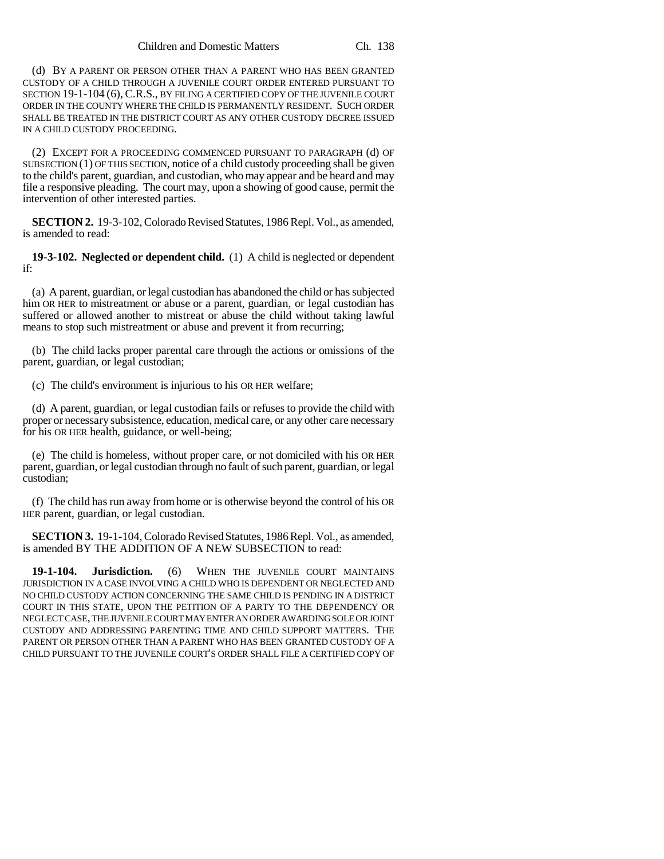(d) BY A PARENT OR PERSON OTHER THAN A PARENT WHO HAS BEEN GRANTED CUSTODY OF A CHILD THROUGH A JUVENILE COURT ORDER ENTERED PURSUANT TO SECTION 19-1-104 (6), C.R.S., BY FILING A CERTIFIED COPY OF THE JUVENILE COURT ORDER IN THE COUNTY WHERE THE CHILD IS PERMANENTLY RESIDENT. SUCH ORDER SHALL BE TREATED IN THE DISTRICT COURT AS ANY OTHER CUSTODY DECREE ISSUED IN A CHILD CUSTODY PROCEEDING.

(2) EXCEPT FOR A PROCEEDING COMMENCED PURSUANT TO PARAGRAPH (d) OF SUBSECTION (1) OF THIS SECTION, notice of a child custody proceeding shall be given to the child's parent, guardian, and custodian, who may appear and be heard and may file a responsive pleading. The court may, upon a showing of good cause, permit the intervention of other interested parties.

**SECTION 2.** 19-3-102, Colorado Revised Statutes, 1986 Repl. Vol., as amended, is amended to read:

**19-3-102. Neglected or dependent child.** (1) A child is neglected or dependent if:

(a) A parent, guardian, or legal custodian has abandoned the child or has subjected him OR HER to mistreatment or abuse or a parent, guardian, or legal custodian has suffered or allowed another to mistreat or abuse the child without taking lawful means to stop such mistreatment or abuse and prevent it from recurring;

(b) The child lacks proper parental care through the actions or omissions of the parent, guardian, or legal custodian;

(c) The child's environment is injurious to his OR HER welfare;

(d) A parent, guardian, or legal custodian fails or refuses to provide the child with proper or necessary subsistence, education, medical care, or any other care necessary for his OR HER health, guidance, or well-being;

(e) The child is homeless, without proper care, or not domiciled with his OR HER parent, guardian, or legal custodian through no fault of such parent, guardian, or legal custodian;

(f) The child has run away from home or is otherwise beyond the control of his OR HER parent, guardian, or legal custodian.

**SECTION 3.** 19-1-104, Colorado Revised Statutes, 1986 Repl. Vol., as amended, is amended BY THE ADDITION OF A NEW SUBSECTION to read:

**19-1-104. Jurisdiction.** (6) WHEN THE JUVENILE COURT MAINTAINS JURISDICTION IN A CASE INVOLVING A CHILD WHO IS DEPENDENT OR NEGLECTED AND NO CHILD CUSTODY ACTION CONCERNING THE SAME CHILD IS PENDING IN A DISTRICT COURT IN THIS STATE, UPON THE PETITION OF A PARTY TO THE DEPENDENCY OR NEGLECT CASE, THE JUVENILE COURT MAY ENTER AN ORDER AWARDING SOLE OR JOINT CUSTODY AND ADDRESSING PARENTING TIME AND CHILD SUPPORT MATTERS. THE PARENT OR PERSON OTHER THAN A PARENT WHO HAS BEEN GRANTED CUSTODY OF A CHILD PURSUANT TO THE JUVENILE COURT'S ORDER SHALL FILE A CERTIFIED COPY OF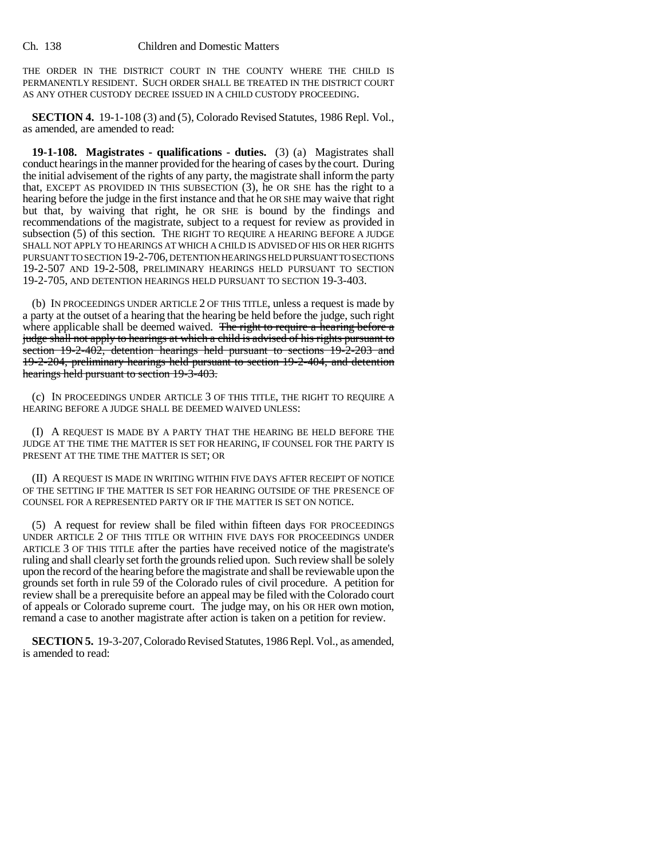THE ORDER IN THE DISTRICT COURT IN THE COUNTY WHERE THE CHILD IS PERMANENTLY RESIDENT. SUCH ORDER SHALL BE TREATED IN THE DISTRICT COURT AS ANY OTHER CUSTODY DECREE ISSUED IN A CHILD CUSTODY PROCEEDING.

**SECTION 4.** 19-1-108 (3) and (5), Colorado Revised Statutes, 1986 Repl. Vol., as amended, are amended to read:

**19-1-108. Magistrates - qualifications - duties.** (3) (a) Magistrates shall conduct hearings in the manner provided for the hearing of cases by the court. During the initial advisement of the rights of any party, the magistrate shall inform the party that, EXCEPT AS PROVIDED IN THIS SUBSECTION (3), he OR SHE has the right to a hearing before the judge in the first instance and that he OR SHE may waive that right but that, by waiving that right, he OR SHE is bound by the findings and recommendations of the magistrate, subject to a request for review as provided in subsection (5) of this section. THE RIGHT TO REQUIRE A HEARING BEFORE A JUDGE SHALL NOT APPLY TO HEARINGS AT WHICH A CHILD IS ADVISED OF HIS OR HER RIGHTS PURSUANT TO SECTION 19-2-706, DETENTION HEARINGS HELD PURSUANT TO SECTIONS 19-2-507 AND 19-2-508, PRELIMINARY HEARINGS HELD PURSUANT TO SECTION 19-2-705, AND DETENTION HEARINGS HELD PURSUANT TO SECTION 19-3-403.

(b) IN PROCEEDINGS UNDER ARTICLE 2 OF THIS TITLE, unless a request is made by a party at the outset of a hearing that the hearing be held before the judge, such right where applicable shall be deemed waived. The right to require a hearing before a judge shall not apply to hearings at which a child is advised of his rights pursuant to section 19-2-402, detention hearings held pursuant to sections 19-2-203 and 19-2-204, preliminary hearings held pursuant to section 19-2-404, and detention hearings held pursuant to section 19-3-403.

(c) IN PROCEEDINGS UNDER ARTICLE 3 OF THIS TITLE, THE RIGHT TO REQUIRE A HEARING BEFORE A JUDGE SHALL BE DEEMED WAIVED UNLESS:

(I) A REQUEST IS MADE BY A PARTY THAT THE HEARING BE HELD BEFORE THE JUDGE AT THE TIME THE MATTER IS SET FOR HEARING, IF COUNSEL FOR THE PARTY IS PRESENT AT THE TIME THE MATTER IS SET; OR

(II) A REQUEST IS MADE IN WRITING WITHIN FIVE DAYS AFTER RECEIPT OF NOTICE OF THE SETTING IF THE MATTER IS SET FOR HEARING OUTSIDE OF THE PRESENCE OF COUNSEL FOR A REPRESENTED PARTY OR IF THE MATTER IS SET ON NOTICE.

(5) A request for review shall be filed within fifteen days FOR PROCEEDINGS UNDER ARTICLE 2 OF THIS TITLE OR WITHIN FIVE DAYS FOR PROCEEDINGS UNDER ARTICLE 3 OF THIS TITLE after the parties have received notice of the magistrate's ruling and shall clearly set forth the grounds relied upon. Such review shall be solely upon the record of the hearing before the magistrate and shall be reviewable upon the grounds set forth in rule 59 of the Colorado rules of civil procedure. A petition for review shall be a prerequisite before an appeal may be filed with the Colorado court of appeals or Colorado supreme court. The judge may, on his OR HER own motion, remand a case to another magistrate after action is taken on a petition for review.

**SECTION 5.** 19-3-207, Colorado Revised Statutes, 1986 Repl. Vol., as amended, is amended to read: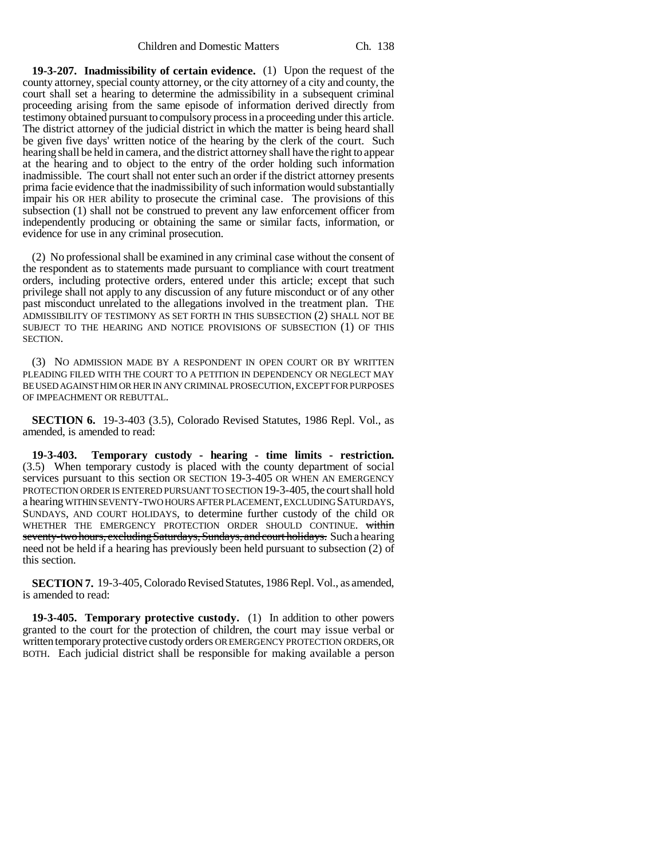**19-3-207. Inadmissibility of certain evidence.** (1) Upon the request of the county attorney, special county attorney, or the city attorney of a city and county, the court shall set a hearing to determine the admissibility in a subsequent criminal proceeding arising from the same episode of information derived directly from testimony obtained pursuant to compulsory process in a proceeding under this article. The district attorney of the judicial district in which the matter is being heard shall be given five days' written notice of the hearing by the clerk of the court. Such hearing shall be held in camera, and the district attorney shall have the right to appear at the hearing and to object to the entry of the order holding such information inadmissible. The court shall not enter such an order if the district attorney presents prima facie evidence that the inadmissibility of such information would substantially impair his OR HER ability to prosecute the criminal case. The provisions of this subsection (1) shall not be construed to prevent any law enforcement officer from independently producing or obtaining the same or similar facts, information, or evidence for use in any criminal prosecution.

(2) No professional shall be examined in any criminal case without the consent of the respondent as to statements made pursuant to compliance with court treatment orders, including protective orders, entered under this article; except that such privilege shall not apply to any discussion of any future misconduct or of any other past misconduct unrelated to the allegations involved in the treatment plan. THE ADMISSIBILITY OF TESTIMONY AS SET FORTH IN THIS SUBSECTION (2) SHALL NOT BE SUBJECT TO THE HEARING AND NOTICE PROVISIONS OF SUBSECTION (1) OF THIS SECTION.

(3) NO ADMISSION MADE BY A RESPONDENT IN OPEN COURT OR BY WRITTEN PLEADING FILED WITH THE COURT TO A PETITION IN DEPENDENCY OR NEGLECT MAY BE USED AGAINST HIM OR HER IN ANY CRIMINAL PROSECUTION, EXCEPT FOR PURPOSES OF IMPEACHMENT OR REBUTTAL.

**SECTION 6.** 19-3-403 (3.5), Colorado Revised Statutes, 1986 Repl. Vol., as amended, is amended to read:

**19-3-403. Temporary custody - hearing - time limits - restriction.** (3.5) When temporary custody is placed with the county department of social services pursuant to this section OR SECTION 19-3-405 OR WHEN AN EMERGENCY PROTECTION ORDER IS ENTERED PURSUANT TO SECTION 19-3-405, the court shall hold a hearing WITHIN SEVENTY-TWO HOURS AFTER PLACEMENT, EXCLUDING SATURDAYS, SUNDAYS, AND COURT HOLIDAYS, to determine further custody of the child OR WHETHER THE EMERGENCY PROTECTION ORDER SHOULD CONTINUE. within seventy-two hours, excluding Saturdays, Sundays, and court holidays. Such a hearing need not be held if a hearing has previously been held pursuant to subsection (2) of this section.

**SECTION 7.** 19-3-405, Colorado Revised Statutes, 1986 Repl. Vol., as amended, is amended to read:

**19-3-405. Temporary protective custody.** (1) In addition to other powers granted to the court for the protection of children, the court may issue verbal or written temporary protective custody orders OR EMERGENCY PROTECTION ORDERS, OR BOTH. Each judicial district shall be responsible for making available a person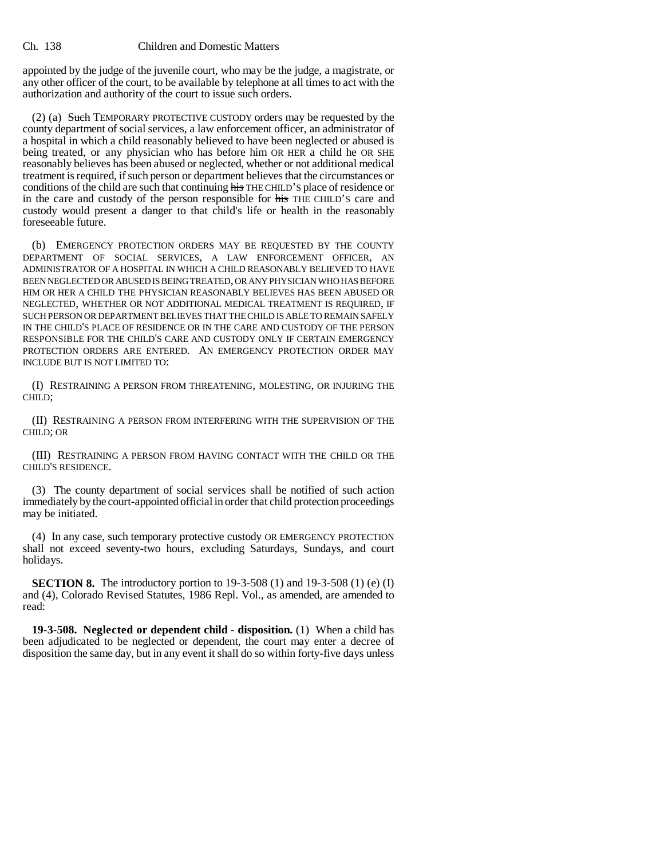appointed by the judge of the juvenile court, who may be the judge, a magistrate, or any other officer of the court, to be available by telephone at all times to act with the authorization and authority of the court to issue such orders.

(2) (a)  $\frac{\text{Such}}{\text{Such}}$  TEMPORARY PROTECTIVE CUSTODY orders may be requested by the county department of social services, a law enforcement officer, an administrator of a hospital in which a child reasonably believed to have been neglected or abused is being treated, or any physician who has before him OR HER a child he OR SHE reasonably believes has been abused or neglected, whether or not additional medical treatment is required, if such person or department believes that the circumstances or conditions of the child are such that continuing his THE CHILD'S place of residence or in the care and custody of the person responsible for his THE CHILD'S care and custody would present a danger to that child's life or health in the reasonably foreseeable future.

(b) EMERGENCY PROTECTION ORDERS MAY BE REQUESTED BY THE COUNTY DEPARTMENT OF SOCIAL SERVICES, A LAW ENFORCEMENT OFFICER, AN ADMINISTRATOR OF A HOSPITAL IN WHICH A CHILD REASONABLY BELIEVED TO HAVE BEEN NEGLECTED OR ABUSED IS BEING TREATED, OR ANY PHYSICIAN WHO HAS BEFORE HIM OR HER A CHILD THE PHYSICIAN REASONABLY BELIEVES HAS BEEN ABUSED OR NEGLECTED, WHETHER OR NOT ADDITIONAL MEDICAL TREATMENT IS REQUIRED, IF SUCH PERSON OR DEPARTMENT BELIEVES THAT THE CHILD IS ABLE TO REMAIN SAFELY IN THE CHILD'S PLACE OF RESIDENCE OR IN THE CARE AND CUSTODY OF THE PERSON RESPONSIBLE FOR THE CHILD'S CARE AND CUSTODY ONLY IF CERTAIN EMERGENCY PROTECTION ORDERS ARE ENTERED. AN EMERGENCY PROTECTION ORDER MAY INCLUDE BUT IS NOT LIMITED TO:

(I) RESTRAINING A PERSON FROM THREATENING, MOLESTING, OR INJURING THE CHILD;

(II) RESTRAINING A PERSON FROM INTERFERING WITH THE SUPERVISION OF THE CHILD; OR

(III) RESTRAINING A PERSON FROM HAVING CONTACT WITH THE CHILD OR THE CHILD'S RESIDENCE.

(3) The county department of social services shall be notified of such action immediately by the court-appointed official in order that child protection proceedings may be initiated.

(4) In any case, such temporary protective custody OR EMERGENCY PROTECTION shall not exceed seventy-two hours, excluding Saturdays, Sundays, and court holidays.

**SECTION 8.** The introductory portion to 19-3-508 (1) and 19-3-508 (1) (e) (I) and (4), Colorado Revised Statutes, 1986 Repl. Vol., as amended, are amended to read:

**19-3-508. Neglected or dependent child - disposition.** (1) When a child has been adjudicated to be neglected or dependent, the court may enter a decree of disposition the same day, but in any event it shall do so within forty-five days unless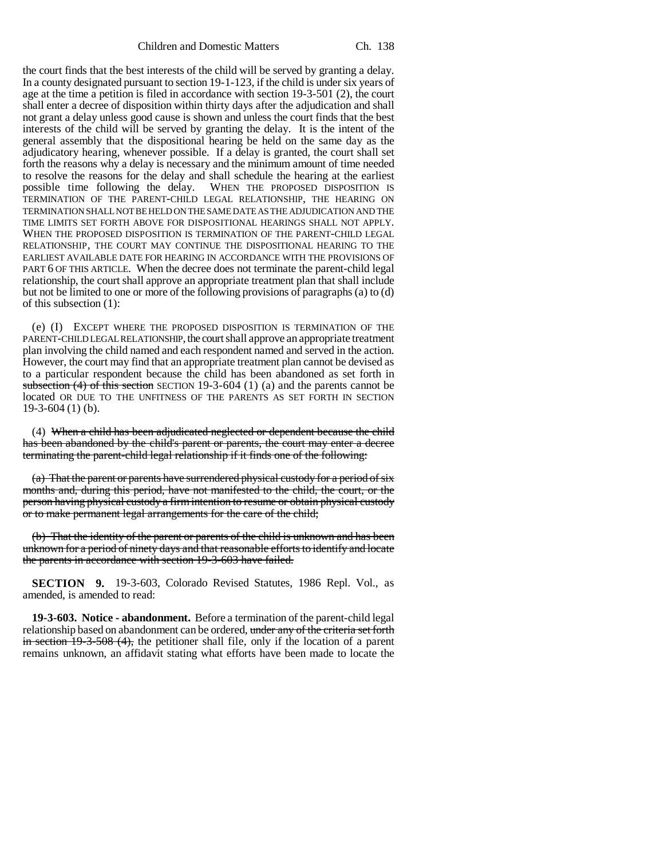Children and Domestic Matters Ch. 138

the court finds that the best interests of the child will be served by granting a delay. In a county designated pursuant to section 19-1-123, if the child is under six years of age at the time a petition is filed in accordance with section 19-3-501 (2), the court shall enter a decree of disposition within thirty days after the adjudication and shall not grant a delay unless good cause is shown and unless the court finds that the best interests of the child will be served by granting the delay. It is the intent of the general assembly that the dispositional hearing be held on the same day as the adjudicatory hearing, whenever possible. If a delay is granted, the court shall set forth the reasons why a delay is necessary and the minimum amount of time needed to resolve the reasons for the delay and shall schedule the hearing at the earliest possible time following the delay. WHEN THE PROPOSED DISPOSITION IS TERMINATION OF THE PARENT-CHILD LEGAL RELATIONSHIP, THE HEARING ON TERMINATION SHALL NOT BE HELD ON THE SAME DATE AS THE ADJUDICATION AND THE TIME LIMITS SET FORTH ABOVE FOR DISPOSITIONAL HEARINGS SHALL NOT APPLY. WHEN THE PROPOSED DISPOSITION IS TERMINATION OF THE PARENT-CHILD LEGAL RELATIONSHIP, THE COURT MAY CONTINUE THE DISPOSITIONAL HEARING TO THE EARLIEST AVAILABLE DATE FOR HEARING IN ACCORDANCE WITH THE PROVISIONS OF PART 6 OF THIS ARTICLE. When the decree does not terminate the parent-child legal relationship, the court shall approve an appropriate treatment plan that shall include but not be limited to one or more of the following provisions of paragraphs (a) to (d) of this subsection (1):

(e) (I) EXCEPT WHERE THE PROPOSED DISPOSITION IS TERMINATION OF THE PARENT-CHILD LEGAL RELATIONSHIP, the court shall approve an appropriate treatment plan involving the child named and each respondent named and served in the action. However, the court may find that an appropriate treatment plan cannot be devised as to a particular respondent because the child has been abandoned as set forth in subsection  $(4)$  of this section SECTION 19-3-604 (1) (a) and the parents cannot be located OR DUE TO THE UNFITNESS OF THE PARENTS AS SET FORTH IN SECTION 19-3-604 (1) (b).

(4) When a child has been adjudicated neglected or dependent because the child has been abandoned by the child's parent or parents, the court may enter a decree terminating the parent-child legal relationship if it finds one of the following:

(a) That the parent or parents have surrendered physical custody for a period of six months and, during this period, have not manifested to the child, the court, or the person having physical custody a firm intention to resume or obtain physical custody or to make permanent legal arrangements for the care of the child;

(b) That the identity of the parent or parents of the child is unknown and has been unknown for a period of ninety days and that reasonable efforts to identify and locate the parents in accordance with section 19-3-603 have failed.

**SECTION 9.** 19-3-603, Colorado Revised Statutes, 1986 Repl. Vol., as amended, is amended to read:

**19-3-603. Notice - abandonment.** Before a termination of the parent-child legal relationship based on abandonment can be ordered, under any of the criteria set forth in section 19-3-508 (4), the petitioner shall file, only if the location of a parent remains unknown, an affidavit stating what efforts have been made to locate the